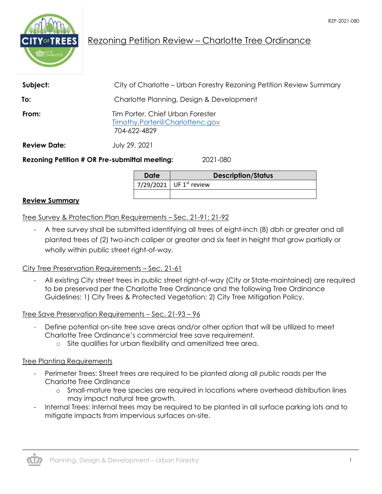

# Rezoning Petition Review – Charlotte Tree Ordinance

| Subject:            | City of Charlotte – Urban Forestry Rezoning Petition Review Summary                |  |
|---------------------|------------------------------------------------------------------------------------|--|
| To:                 | Charlotte Planning, Design & Development                                           |  |
| From:               | Tim Porter, Chief Urban Forester<br>Timothy.Porter@Charlottenc.gov<br>704-622-4829 |  |
| <b>Review Date:</b> | July 29, 2021                                                                      |  |
|                     | <b>Rezoning Petition # OR Pre-submittal meeting:</b><br>2021-080                   |  |

**Date Description/Status** 7/29/2021 UF  $1^{st}$  review

#### **Review Summary**

Tree Survey & Protection Plan Requirements – Sec. 21-91; 21-92

- A tree survey shall be submitted identifying all trees of eight-inch (8) dbh or greater and all planted trees of (2) two-inch caliper or greater and six feet in height that grow partially or wholly within public street right-of-way.

#### City Tree Preservation Requirements – Sec. 21-61

- All existing City street trees in public street right-of-way (City or State-maintained) are required to be preserved per the Charlotte Tree Ordinance and the following Tree Ordinance Guidelines: 1) City Trees & Protected Vegetation; 2) City Tree Mitigation Policy.

Tree Save Preservation Requirements – Sec. 21-93 – 96

- Define potential on-site tree save areas and/or other option that will be utilized to meet Charlotte Tree Ordinance's commercial tree save requirement.
	- o Site qualifies for urban flexibility and amenitized tree area.

#### Tree Planting Requirements

- Perimeter Trees: Street trees are required to be planted along all public roads per the Charlotte Tree Ordinance
	- o Small-mature tree species are required in locations where overhead distribution lines may impact natural tree growth.
- Internal Trees: Internal trees may be required to be planted in all surface parking lots and to mitigate impacts from impervious surfaces on-site.